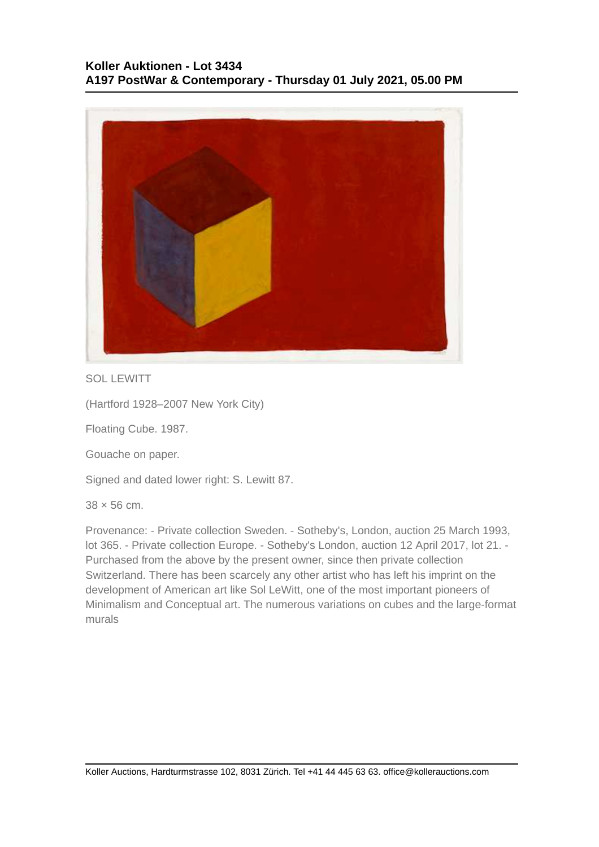

SOL LEWITT

(Hartford 1928–2007 New York City)

Floating Cube. 1987.

Gouache on paper.

Signed and dated lower right: S. Lewitt 87.

 $38 \times 56$  cm.

Provenance: - Private collection Sweden. - Sotheby's, London, auction 25 March 1993, lot 365. - Private collection Europe. - Sotheby's London, auction 12 April 2017, lot 21. - Purchased from the above by the present owner, since then private collection Switzerland. There has been scarcely any other artist who has left his imprint on the development of American art like Sol LeWitt, one of the most important pioneers of Minimalism and Conceptual art. The numerous variations on cubes and the large-format murals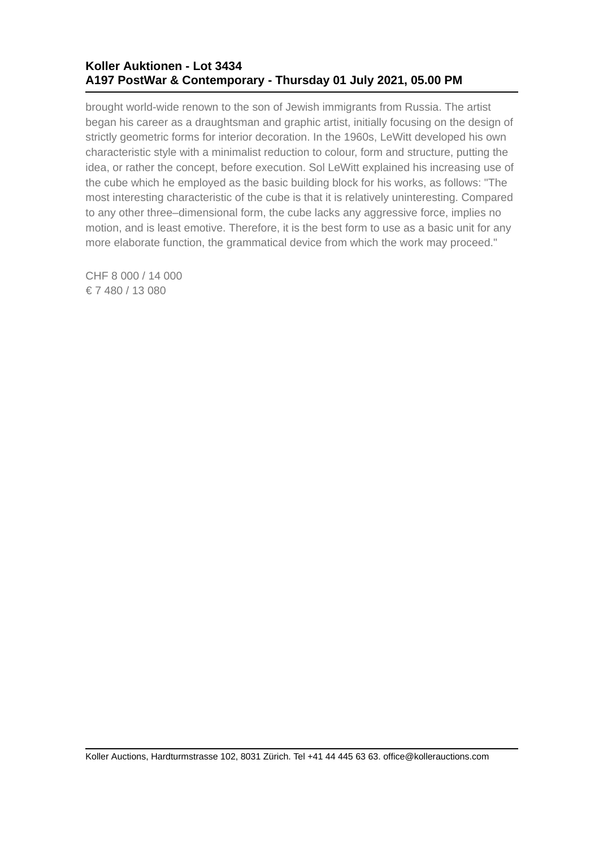## **Koller Auktionen - Lot 3434 A197 PostWar & Contemporary - Thursday 01 July 2021, 05.00 PM**

brought world-wide renown to the son of Jewish immigrants from Russia. The artist began his career as a draughtsman and graphic artist, initially focusing on the design of strictly geometric forms for interior decoration. In the 1960s, LeWitt developed his own characteristic style with a minimalist reduction to colour, form and structure, putting the idea, or rather the concept, before execution. Sol LeWitt explained his increasing use of the cube which he employed as the basic building block for his works, as follows: "The most interesting characteristic of the cube is that it is relatively uninteresting. Compared to any other three–dimensional form, the cube lacks any aggressive force, implies no motion, and is least emotive. Therefore, it is the best form to use as a basic unit for any more elaborate function, the grammatical device from which the work may proceed."

CHF 8 000 / 14 000 € 7 480 / 13 080

Koller Auctions, Hardturmstrasse 102, 8031 Zürich. Tel +41 44 445 63 63. office@kollerauctions.com